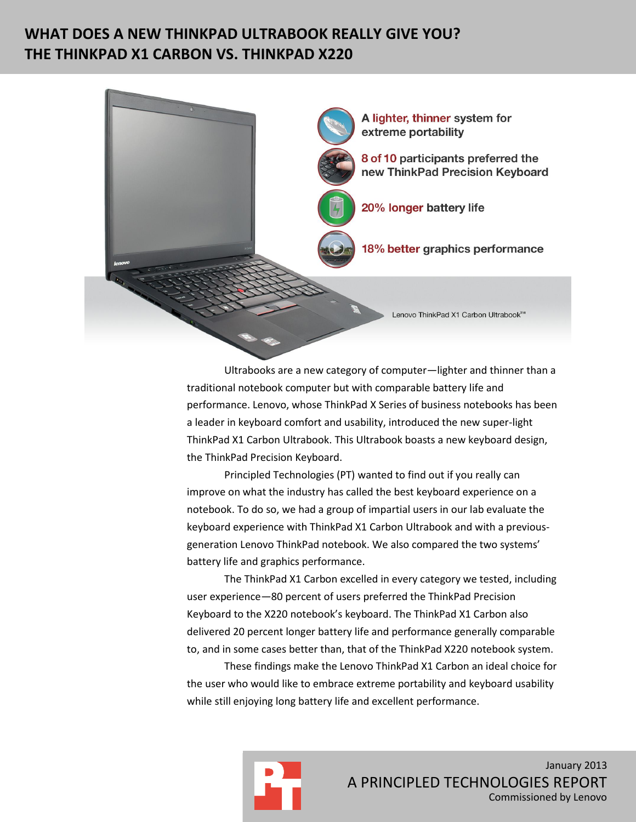## **WHAT DOES A NEW THINKPAD ULTRABOOK REALLY GIVE YOU? THE THINKPAD X1 CARBON VS. THINKPAD X220**



Ultrabooks are a new category of computer—lighter and thinner than a traditional notebook computer but with comparable battery life and performance. Lenovo, whose ThinkPad X Series of business notebooks has been a leader in keyboard comfort and usability, introduced the new super-light ThinkPad X1 Carbon Ultrabook. This Ultrabook boasts a new keyboard design, the ThinkPad Precision Keyboard.

Principled Technologies (PT) wanted to find out if you really can improve on what the industry has called the best keyboard experience on a notebook. To do so, we had a group of impartial users in our lab evaluate the keyboard experience with ThinkPad X1 Carbon Ultrabook and with a previousgeneration Lenovo ThinkPad notebook. We also compared the two systems' battery life and graphics performance.

The ThinkPad X1 Carbon excelled in every category we tested, including user experience—80 percent of users preferred the ThinkPad Precision Keyboard to the X220 notebook's keyboard. The ThinkPad X1 Carbon also delivered 20 percent longer battery life and performance generally comparable to, and in some cases better than, that of the ThinkPad X220 notebook system.

These findings make the Lenovo ThinkPad X1 Carbon an ideal choice for the user who would like to embrace extreme portability and keyboard usability while still enjoying long battery life and excellent performance.

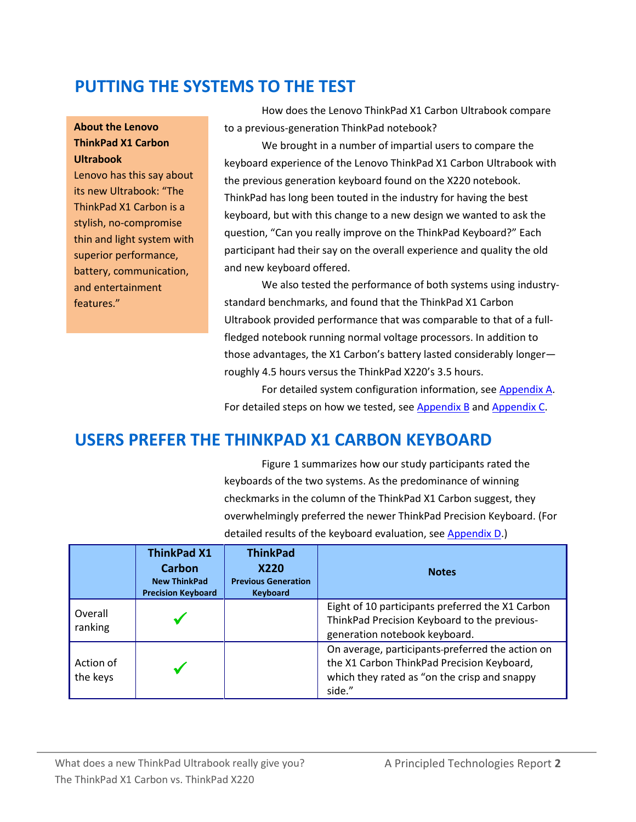## **PUTTING THE SYSTEMS TO THE TEST**

#### **About the Lenovo ThinkPad X1 Carbon Ultrabook**

Lenovo has this say about its new Ultrabook: "The ThinkPad X1 Carbon is a stylish, no-compromise thin and light system with superior performance, battery, communication, and entertainment features."

How does the Lenovo ThinkPad X1 Carbon Ultrabook compare to a previous-generation ThinkPad notebook?

We brought in a number of impartial users to compare the keyboard experience of the Lenovo ThinkPad X1 Carbon Ultrabook with the previous generation keyboard found on the X220 notebook. ThinkPad has long been touted in the industry for having the best keyboard, but with this change to a new design we wanted to ask the question, "Can you really improve on the ThinkPad Keyboard?" Each participant had their say on the overall experience and quality the old and new keyboard offered.

We also tested the performance of both systems using industrystandard benchmarks, and found that the ThinkPad X1 Carbon Ultrabook provided performance that was comparable to that of a fullfledged notebook running normal voltage processors. In addition to those advantages, the X1 Carbon's battery lasted considerably longer roughly 4.5 hours versus the ThinkPad X220's 3.5 hours.

For detailed system configuration information, se[e Appendix A.](#page-7-0) For detailed steps on how we tested, se[e Appendix B](#page-10-0) and [Appendix C.](#page-14-0)

## **USERS PREFER THE THINKPAD X1 CARBON KEYBOARD**

Figure 1 summarizes how our study participants rated the keyboards of the two systems. As the predominance of winning checkmarks in the column of the ThinkPad X1 Carbon suggest, they overwhelmingly preferred the newer ThinkPad Precision Keyboard. (For detailed results of the keyboard evaluation, see [Appendix D.](#page-19-0))

|                       | <b>ThinkPad X1</b><br>Carbon<br><b>New ThinkPad</b><br><b>Precision Keyboard</b> | <b>ThinkPad</b><br>X220<br><b>Previous Generation</b><br><b>Keyboard</b> | <b>Notes</b>                                                                                                                                             |
|-----------------------|----------------------------------------------------------------------------------|--------------------------------------------------------------------------|----------------------------------------------------------------------------------------------------------------------------------------------------------|
| Overall<br>ranking    |                                                                                  |                                                                          | Eight of 10 participants preferred the X1 Carbon<br>ThinkPad Precision Keyboard to the previous-<br>generation notebook keyboard.                        |
| Action of<br>the keys |                                                                                  |                                                                          | On average, participants-preferred the action on<br>the X1 Carbon ThinkPad Precision Keyboard,<br>which they rated as "on the crisp and snappy<br>side." |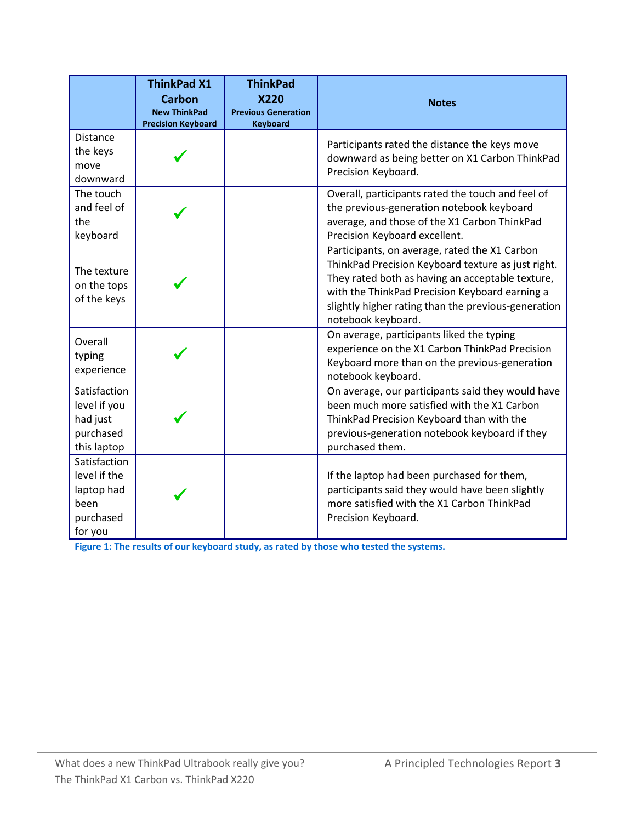|                                                                            | <b>ThinkPad X1</b><br><b>Carbon</b><br><b>New ThinkPad</b><br><b>Precision Keyboard</b> | <b>ThinkPad</b><br><b>X220</b><br><b>Previous Generation</b><br><b>Keyboard</b> | <b>Notes</b>                                                                                                                                                                                                                                                                           |
|----------------------------------------------------------------------------|-----------------------------------------------------------------------------------------|---------------------------------------------------------------------------------|----------------------------------------------------------------------------------------------------------------------------------------------------------------------------------------------------------------------------------------------------------------------------------------|
| <b>Distance</b><br>the keys<br>move<br>downward                            |                                                                                         |                                                                                 | Participants rated the distance the keys move<br>downward as being better on X1 Carbon ThinkPad<br>Precision Keyboard.                                                                                                                                                                 |
| The touch<br>and feel of<br>the<br>keyboard                                |                                                                                         |                                                                                 | Overall, participants rated the touch and feel of<br>the previous-generation notebook keyboard<br>average, and those of the X1 Carbon ThinkPad<br>Precision Keyboard excellent.                                                                                                        |
| The texture<br>on the tops<br>of the keys                                  |                                                                                         |                                                                                 | Participants, on average, rated the X1 Carbon<br>ThinkPad Precision Keyboard texture as just right.<br>They rated both as having an acceptable texture,<br>with the ThinkPad Precision Keyboard earning a<br>slightly higher rating than the previous-generation<br>notebook keyboard. |
| Overall<br>typing<br>experience                                            |                                                                                         |                                                                                 | On average, participants liked the typing<br>experience on the X1 Carbon ThinkPad Precision<br>Keyboard more than on the previous-generation<br>notebook keyboard.                                                                                                                     |
| Satisfaction<br>level if you<br>had just<br>purchased<br>this laptop       |                                                                                         |                                                                                 | On average, our participants said they would have<br>been much more satisfied with the X1 Carbon<br>ThinkPad Precision Keyboard than with the<br>previous-generation notebook keyboard if they<br>purchased them.                                                                      |
| Satisfaction<br>level if the<br>laptop had<br>been<br>purchased<br>for you |                                                                                         |                                                                                 | If the laptop had been purchased for them,<br>participants said they would have been slightly<br>more satisfied with the X1 Carbon ThinkPad<br>Precision Keyboard.                                                                                                                     |

**Figure 1: The results of our keyboard study, as rated by those who tested the systems.**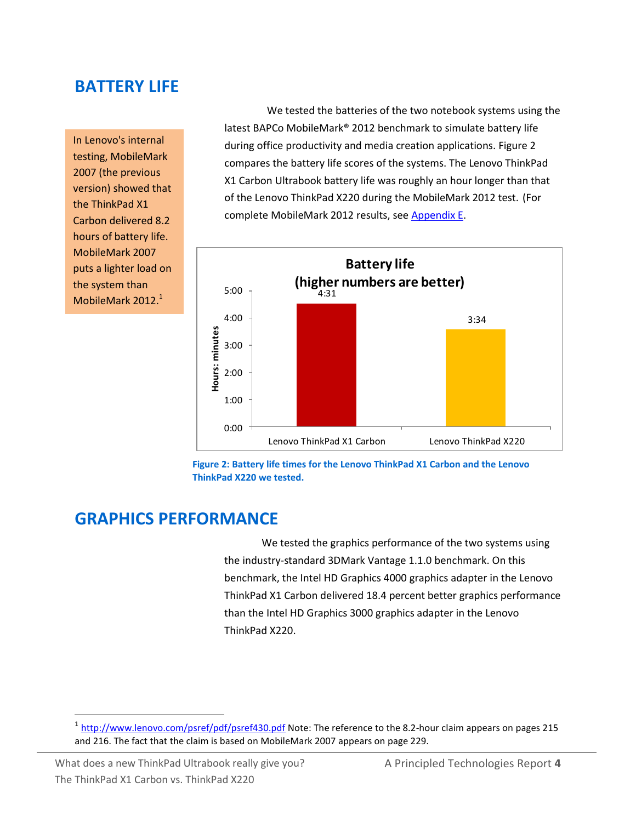## **BATTERY LIFE**

In Lenovo's internal testing, MobileMark 2007 (the previous version) showed that the ThinkPad X1 Carbon delivered 8.2 hours of battery life. MobileMark 2007 puts a lighter load on the system than MobileMark 2012. 1

We tested the batteries of the two notebook systems using the latest BAPCo MobileMark® 2012 benchmark to simulate battery life during office productivity and media creation applications. Figure 2 compares the battery life scores of the systems. The Lenovo ThinkPad X1 Carbon Ultrabook battery life was roughly an hour longer than that of the Lenovo ThinkPad X220 during the MobileMark 2012 test. (For complete MobileMark 2012 results, see [Appendix E.](#page-22-0)



**Figure 2: Battery life times for the Lenovo ThinkPad X1 Carbon and the Lenovo ThinkPad X220 we tested.**

## **GRAPHICS PERFORMANCE**

We tested the graphics performance of the two systems using the industry-standard 3DMark Vantage 1.1.0 benchmark. On this benchmark, the Intel HD Graphics 4000 graphics adapter in the Lenovo ThinkPad X1 Carbon delivered 18.4 percent better graphics performance than the Intel HD Graphics 3000 graphics adapter in the Lenovo ThinkPad X220.

 $\overline{\phantom{a}}$ 

<sup>&</sup>lt;sup>1</sup> <http://www.lenovo.com/psref/pdf/psref430.pdf> Note: The reference to the 8.2-hour claim appears on pages 215 and 216. The fact that the claim is based on MobileMark 2007 appears on page 229.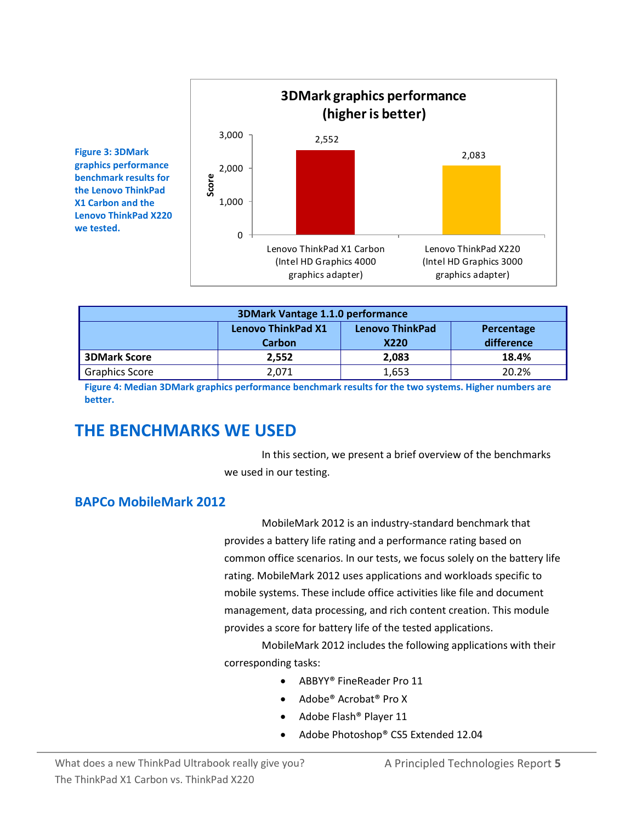

**3DMark Vantage 1.1.0 performance Lenovo ThinkPad X1 Carbon Lenovo ThinkPad X220 Percentage difference 3DMark Score 2,552 2,083 18.4%** Graphics Score 2,071 1,653 20.2%

**Figure 4: Median 3DMark graphics performance benchmark results for the two systems. Higher numbers are better.**

## **THE BENCHMARKS WE USED**

In this section, we present a brief overview of the benchmarks we used in our testing.

## **BAPCo MobileMark 2012**

**we tested.**

MobileMark 2012 is an industry-standard benchmark that provides a battery life rating and a performance rating based on common office scenarios. In our tests, we focus solely on the battery life rating. MobileMark 2012 uses applications and workloads specific to mobile systems. These include office activities like file and document management, data processing, and rich content creation. This module provides a score for battery life of the tested applications.

MobileMark 2012 includes the following applications with their corresponding tasks:

- ABBYY® FineReader Pro 11
- Adobe® Acrobat® Pro X
- Adobe Flash® Player 11
- Adobe Photoshop® CS5 Extended 12.04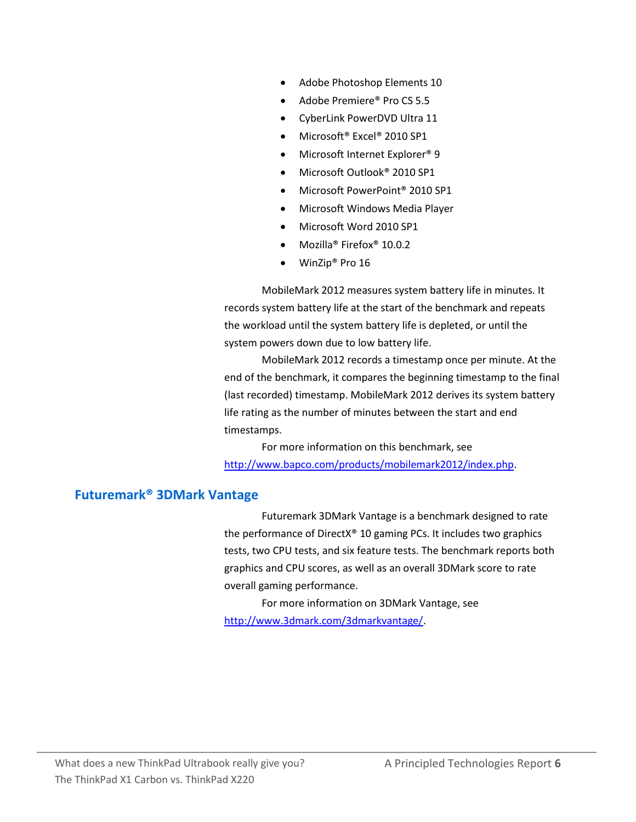- Adobe Photoshop Elements 10
- Adobe Premiere® Pro CS 5.5
- CyberLink PowerDVD Ultra 11
- Microsoft<sup>®</sup> Excel® 2010 SP1
- Microsoft Internet Explorer® 9
- Microsoft Outlook® 2010 SP1
- Microsoft PowerPoint<sup>®</sup> 2010 SP1
- Microsoft Windows Media Player
- Microsoft Word 2010 SP1
- Mozilla® Firefox® 10.0.2
- WinZip<sup>®</sup> Pro 16

MobileMark 2012 measures system battery life in minutes. It records system battery life at the start of the benchmark and repeats the workload until the system battery life is depleted, or until the system powers down due to low battery life.

MobileMark 2012 records a timestamp once per minute. At the end of the benchmark, it compares the beginning timestamp to the final (last recorded) timestamp. MobileMark 2012 derives its system battery life rating as the number of minutes between the start and end timestamps.

For more information on this benchmark, see [http://www.bapco.com/products/mobilemark2012/index.php.](http://www.bapco.com/products/mobilemark2012/index.php)

### **Futuremark® 3DMark Vantage**

Futuremark 3DMark Vantage is a benchmark designed to rate the performance of DirectX® 10 gaming PCs. It includes two graphics tests, two CPU tests, and six feature tests. The benchmark reports both graphics and CPU scores, as well as an overall 3DMark score to rate overall gaming performance.

For more information on 3DMark Vantage, see [http://www.3dmark.com/3dmarkvantage/.](http://www.3dmark.com/3dmarkvantage/)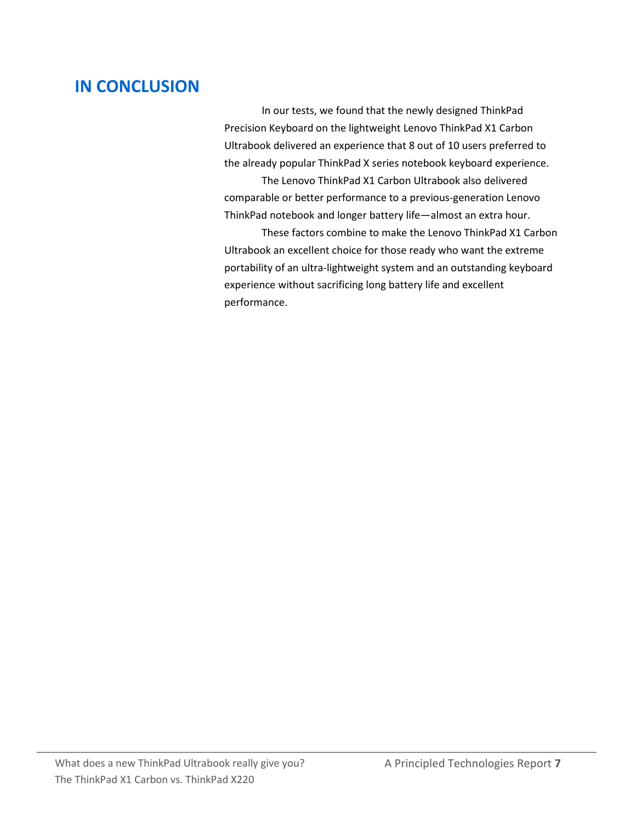# **IN CONCLUSION**

In our tests, we found that the newly designed ThinkPad Precision Keyboard on the lightweight Lenovo ThinkPad X1 Carbon Ultrabook delivered an experience that 8 out of 10 users preferred to the already popular ThinkPad X series notebook keyboard experience.

The Lenovo ThinkPad X1 Carbon Ultrabook also delivered comparable or better performance to a previous-generation Lenovo ThinkPad notebook and longer battery life—almost an extra hour.

These factors combine to make the Lenovo ThinkPad X1 Carbon Ultrabook an excellent choice for those ready who want the extreme portability of an ultra-lightweight system and an outstanding keyboard experience without sacrificing long battery life and excellent performance.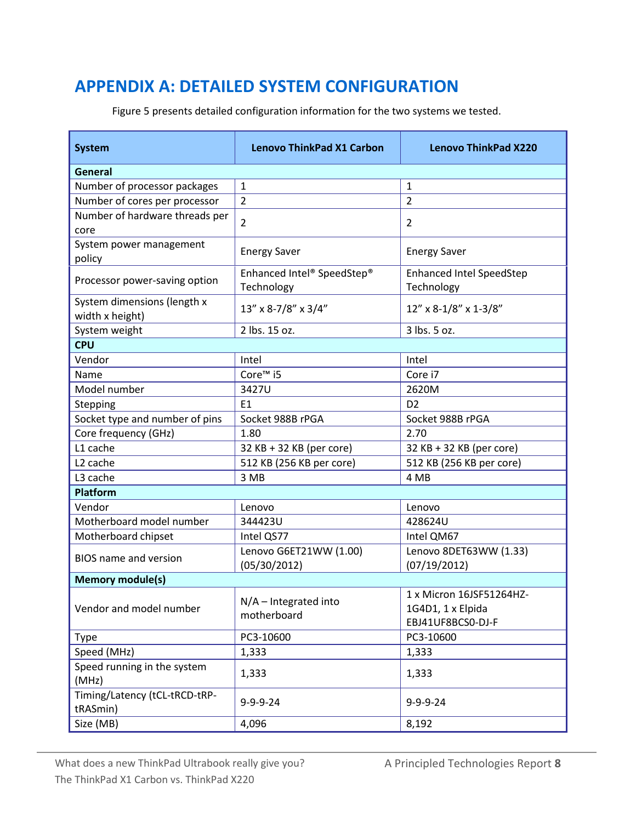# <span id="page-7-0"></span>**APPENDIX A: DETAILED SYSTEM CONFIGURATION**

Figure 5 presents detailed configuration information for the two systems we tested.

| <b>System</b>                                  | <b>Lenovo ThinkPad X1 Carbon</b>         | <b>Lenovo ThinkPad X220</b>                                        |  |  |
|------------------------------------------------|------------------------------------------|--------------------------------------------------------------------|--|--|
| <b>General</b>                                 |                                          |                                                                    |  |  |
| Number of processor packages                   | $\mathbf{1}$                             | $\mathbf 1$                                                        |  |  |
| Number of cores per processor                  | $\overline{2}$                           | $\overline{2}$                                                     |  |  |
| Number of hardware threads per<br>core         | $\overline{2}$                           | $\overline{2}$                                                     |  |  |
| System power management<br>policy              | <b>Energy Saver</b>                      | <b>Energy Saver</b>                                                |  |  |
| Processor power-saving option                  | Enhanced Intel® SpeedStep®<br>Technology | <b>Enhanced Intel SpeedStep</b><br>Technology                      |  |  |
| System dimensions (length x<br>width x height) | 13" x 8-7/8" x 3/4"                      | 12" x 8-1/8" x 1-3/8"                                              |  |  |
| System weight                                  | 2 lbs. 15 oz.                            | 3 lbs. 5 oz.                                                       |  |  |
| <b>CPU</b>                                     |                                          |                                                                    |  |  |
| Vendor                                         | Intel                                    | Intel                                                              |  |  |
| Name                                           | Core <sup>™</sup> i5                     | Core i7                                                            |  |  |
| Model number                                   | 3427U                                    | 2620M                                                              |  |  |
| Stepping                                       | E <sub>1</sub>                           | D <sub>2</sub>                                                     |  |  |
| Socket type and number of pins                 | Socket 988B rPGA                         | Socket 988B rPGA                                                   |  |  |
| Core frequency (GHz)                           | 1.80                                     | 2.70                                                               |  |  |
| L1 cache                                       | 32 KB + 32 KB (per core)                 | 32 KB + 32 KB (per core)                                           |  |  |
| L <sub>2</sub> cache                           | 512 KB (256 KB per core)                 | 512 KB (256 KB per core)                                           |  |  |
| L3 cache                                       | 3 MB                                     | 4 MB                                                               |  |  |
| Platform                                       |                                          |                                                                    |  |  |
| Vendor                                         | Lenovo                                   | Lenovo                                                             |  |  |
| Motherboard model number                       | 344423U                                  | 428624U                                                            |  |  |
| Motherboard chipset                            | Intel QS77                               | Intel QM67                                                         |  |  |
| <b>BIOS</b> name and version                   | Lenovo G6ET21WW (1.00)<br>(05/30/2012)   | Lenovo 8DET63WW (1.33)<br>(07/19/2012)                             |  |  |
| <b>Memory module(s)</b>                        |                                          |                                                                    |  |  |
| Vendor and model number                        | $N/A$ – Integrated into<br>motherboard   | 1 x Micron 16JSF51264HZ-<br>1G4D1, 1 x Elpida<br>EBJ41UF8BCS0-DJ-F |  |  |
| <b>Type</b>                                    | PC3-10600                                | PC3-10600                                                          |  |  |
| Speed (MHz)                                    | 1,333                                    | 1,333                                                              |  |  |
| Speed running in the system<br>(MHz)           | 1,333                                    | 1,333                                                              |  |  |
| Timing/Latency (tCL-tRCD-tRP-<br>tRASmin)      | $9 - 9 - 9 - 24$                         | $9 - 9 - 9 - 24$                                                   |  |  |
| Size (MB)                                      | 4,096                                    | 8,192                                                              |  |  |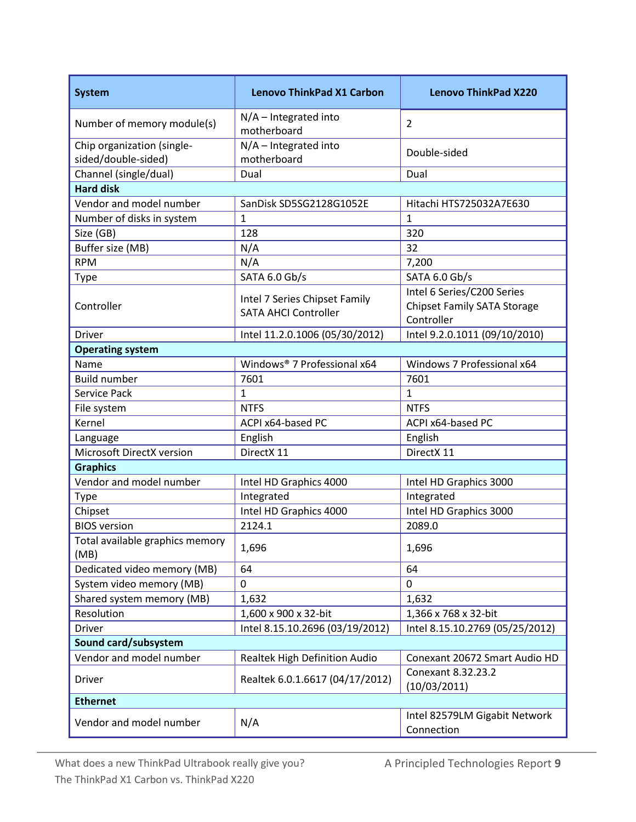| <b>System</b>                                     | <b>Lenovo ThinkPad X1 Carbon</b>                             | <b>Lenovo ThinkPad X220</b>                                                    |  |  |
|---------------------------------------------------|--------------------------------------------------------------|--------------------------------------------------------------------------------|--|--|
| Number of memory module(s)                        | $N/A$ – Integrated into<br>motherboard                       | $\overline{2}$                                                                 |  |  |
| Chip organization (single-<br>sided/double-sided) | $N/A$ – Integrated into<br>motherboard                       | Double-sided                                                                   |  |  |
| Channel (single/dual)                             | Dual                                                         | Dual                                                                           |  |  |
| <b>Hard disk</b>                                  |                                                              |                                                                                |  |  |
| Vendor and model number                           | SanDisk SD5SG2128G1052E                                      | Hitachi HTS725032A7E630                                                        |  |  |
| Number of disks in system                         | $\mathbf{1}$                                                 | $\mathbf{1}$                                                                   |  |  |
| Size (GB)                                         | 128                                                          | 320                                                                            |  |  |
| Buffer size (MB)                                  | N/A                                                          | 32                                                                             |  |  |
| <b>RPM</b>                                        | N/A                                                          | 7,200                                                                          |  |  |
| <b>Type</b>                                       | SATA 6.0 Gb/s                                                | SATA 6.0 Gb/s                                                                  |  |  |
| Controller                                        | Intel 7 Series Chipset Family<br><b>SATA AHCI Controller</b> | Intel 6 Series/C200 Series<br><b>Chipset Family SATA Storage</b><br>Controller |  |  |
| <b>Driver</b>                                     | Intel 11.2.0.1006 (05/30/2012)                               | Intel 9.2.0.1011 (09/10/2010)                                                  |  |  |
| <b>Operating system</b>                           |                                                              |                                                                                |  |  |
| Name                                              | Windows® 7 Professional x64                                  | Windows 7 Professional x64                                                     |  |  |
| <b>Build number</b>                               | 7601                                                         | 7601                                                                           |  |  |
| Service Pack                                      | 1                                                            | $\mathbf{1}$                                                                   |  |  |
| File system                                       | <b>NTFS</b>                                                  | <b>NTFS</b>                                                                    |  |  |
| Kernel                                            | ACPI x64-based PC                                            | ACPI x64-based PC                                                              |  |  |
| Language                                          | English                                                      | English                                                                        |  |  |
| Microsoft DirectX version                         | DirectX 11                                                   | DirectX 11                                                                     |  |  |
| <b>Graphics</b>                                   |                                                              |                                                                                |  |  |
| Vendor and model number                           | Intel HD Graphics 4000                                       | Intel HD Graphics 3000                                                         |  |  |
| <b>Type</b>                                       | Integrated                                                   | Integrated                                                                     |  |  |
| Chipset                                           | Intel HD Graphics 4000                                       | Intel HD Graphics 3000                                                         |  |  |
| <b>BIOS</b> version                               | 2124.1                                                       | 2089.0                                                                         |  |  |
| Total available graphics memory<br>(MB)           | 1,696                                                        | 1,696                                                                          |  |  |
| Dedicated video memory (MB)                       | 64                                                           | 64                                                                             |  |  |
| System video memory (MB)                          | $\mathbf 0$                                                  | $\mathbf 0$                                                                    |  |  |
| Shared system memory (MB)                         | 1,632                                                        | 1,632                                                                          |  |  |
| Resolution                                        | 1,600 x 900 x 32-bit                                         | 1,366 x 768 x 32-bit                                                           |  |  |
| Driver                                            | Intel 8.15.10.2696 (03/19/2012)                              | Intel 8.15.10.2769 (05/25/2012)                                                |  |  |
| Sound card/subsystem                              |                                                              |                                                                                |  |  |
| Vendor and model number                           | Realtek High Definition Audio                                | Conexant 20672 Smart Audio HD                                                  |  |  |
| Driver                                            | Realtek 6.0.1.6617 (04/17/2012)                              | Conexant 8.32.23.2<br>(10/03/2011)                                             |  |  |
| <b>Ethernet</b>                                   |                                                              |                                                                                |  |  |
| Vendor and model number                           | N/A                                                          | Intel 82579LM Gigabit Network<br>Connection                                    |  |  |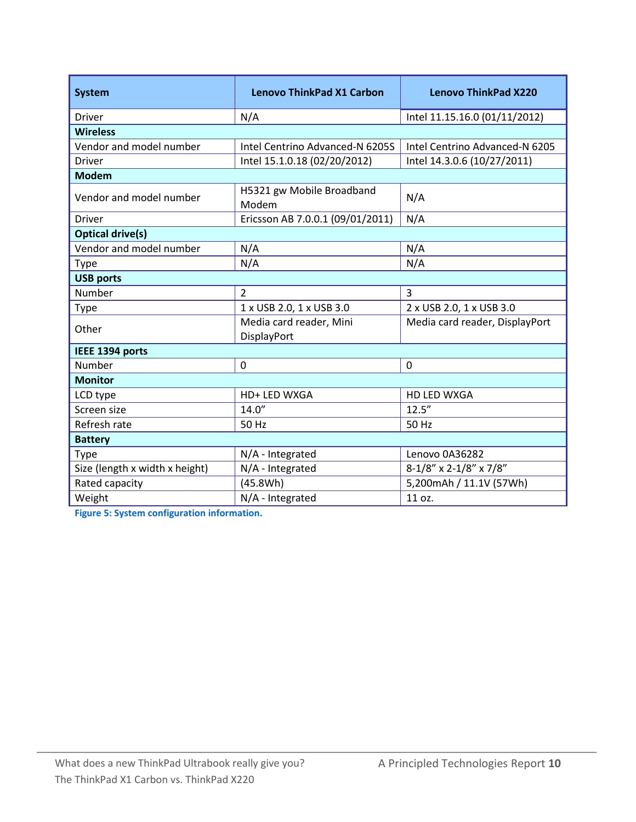| <b>System</b>                  | <b>Lenovo ThinkPad X1 Carbon</b>   | <b>Lenovo ThinkPad X220</b>    |  |
|--------------------------------|------------------------------------|--------------------------------|--|
| <b>Driver</b>                  | N/A                                | Intel 11.15.16.0 (01/11/2012)  |  |
| <b>Wireless</b>                |                                    |                                |  |
| Vendor and model number        | Intel Centrino Advanced-N 6205S    | Intel Centrino Advanced-N 6205 |  |
| <b>Driver</b>                  | Intel 15.1.0.18 (02/20/2012)       | Intel 14.3.0.6 (10/27/2011)    |  |
| <b>Modem</b>                   |                                    |                                |  |
| Vendor and model number        | H5321 gw Mobile Broadband<br>Modem | N/A                            |  |
| Driver                         | Ericsson AB 7.0.0.1 (09/01/2011)   | N/A                            |  |
| <b>Optical drive(s)</b>        |                                    |                                |  |
| Vendor and model number        | N/A                                | N/A                            |  |
| Type                           | N/A                                | N/A                            |  |
| <b>USB ports</b>               |                                    |                                |  |
| Number                         | $\overline{2}$                     | $\overline{3}$                 |  |
| <b>Type</b>                    | 1 x USB 2.0, 1 x USB 3.0           | 2 x USB 2.0, 1 x USB 3.0       |  |
| Other                          | Media card reader, Mini            | Media card reader, DisplayPort |  |
|                                | DisplayPort                        |                                |  |
| IEEE 1394 ports                |                                    |                                |  |
| Number                         | $\mathbf 0$                        | $\mathbf 0$                    |  |
| <b>Monitor</b>                 |                                    |                                |  |
| LCD type                       | HD+ LED WXGA                       | <b>HD LED WXGA</b>             |  |
| Screen size                    | 14.0''                             | 12.5''                         |  |
| Refresh rate                   | 50 Hz                              | 50 Hz                          |  |
| <b>Battery</b>                 |                                    |                                |  |
| Type                           | N/A - Integrated                   | Lenovo 0A36282                 |  |
| Size (length x width x height) | N/A - Integrated                   | $8-1/8$ " x 2-1/8" x 7/8"      |  |
| Rated capacity                 | (45.8Wh)                           | 5,200mAh / 11.1V (57Wh)        |  |
| Weight                         | N/A - Integrated                   | 11 oz.                         |  |

**Figure 5: System configuration information.**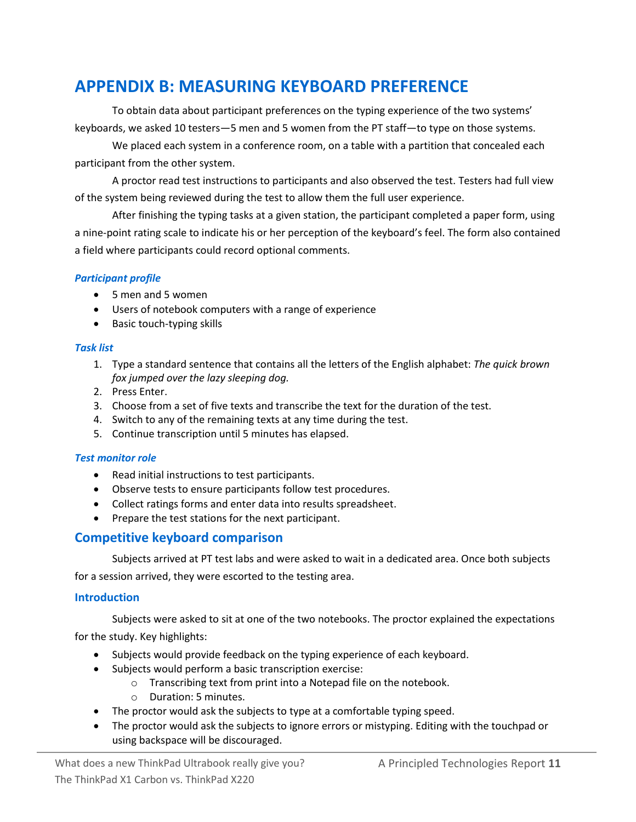# <span id="page-10-0"></span>**APPENDIX B: MEASURING KEYBOARD PREFERENCE**

To obtain data about participant preferences on the typing experience of the two systems' keyboards, we asked 10 testers—5 men and 5 women from the PT staff—to type on those systems.

We placed each system in a conference room, on a table with a partition that concealed each participant from the other system.

A proctor read test instructions to participants and also observed the test. Testers had full view of the system being reviewed during the test to allow them the full user experience.

After finishing the typing tasks at a given station, the participant completed a paper form, using a nine-point rating scale to indicate his or her perception of the keyboard's feel. The form also contained a field where participants could record optional comments.

#### *Participant profile*

- 5 men and 5 women
- Users of notebook computers with a range of experience
- Basic touch-typing skills

#### *Task list*

- 1. Type a standard sentence that contains all the letters of the English alphabet: *The quick brown fox jumped over the lazy sleeping dog.*
- 2. Press Enter.
- 3. Choose from a set of five texts and transcribe the text for the duration of the test.
- 4. Switch to any of the remaining texts at any time during the test.
- 5. Continue transcription until 5 minutes has elapsed.

#### *Test monitor role*

- Read initial instructions to test participants.
- Observe tests to ensure participants follow test procedures.
- Collect ratings forms and enter data into results spreadsheet.
- Prepare the test stations for the next participant.

## **Competitive keyboard comparison**

Subjects arrived at PT test labs and were asked to wait in a dedicated area. Once both subjects

for a session arrived, they were escorted to the testing area.

### **Introduction**

Subjects were asked to sit at one of the two notebooks. The proctor explained the expectations for the study. Key highlights:

- Subjects would provide feedback on the typing experience of each keyboard.
- Subjects would perform a basic transcription exercise:
	- o Transcribing text from print into a Notepad file on the notebook.
	- o Duration: 5 minutes.
- The proctor would ask the subjects to type at a comfortable typing speed.
- The proctor would ask the subjects to ignore errors or mistyping. Editing with the touchpad or using backspace will be discouraged.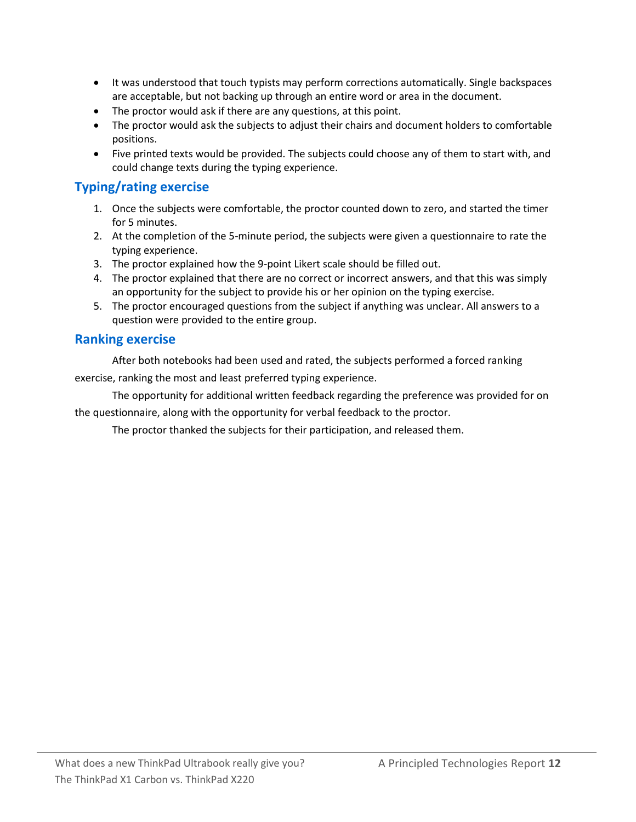- It was understood that touch typists may perform corrections automatically. Single backspaces are acceptable, but not backing up through an entire word or area in the document.
- The proctor would ask if there are any questions, at this point.
- The proctor would ask the subjects to adjust their chairs and document holders to comfortable positions.
- Five printed texts would be provided. The subjects could choose any of them to start with, and could change texts during the typing experience.

## **Typing/rating exercise**

- 1. Once the subjects were comfortable, the proctor counted down to zero, and started the timer for 5 minutes.
- 2. At the completion of the 5-minute period, the subjects were given a questionnaire to rate the typing experience.
- 3. The proctor explained how the 9-point Likert scale should be filled out.
- 4. The proctor explained that there are no correct or incorrect answers, and that this was simply an opportunity for the subject to provide his or her opinion on the typing exercise.
- 5. The proctor encouraged questions from the subject if anything was unclear. All answers to a question were provided to the entire group.

## **Ranking exercise**

After both notebooks had been used and rated, the subjects performed a forced ranking exercise, ranking the most and least preferred typing experience.

The opportunity for additional written feedback regarding the preference was provided for on the questionnaire, along with the opportunity for verbal feedback to the proctor.

The proctor thanked the subjects for their participation, and released them.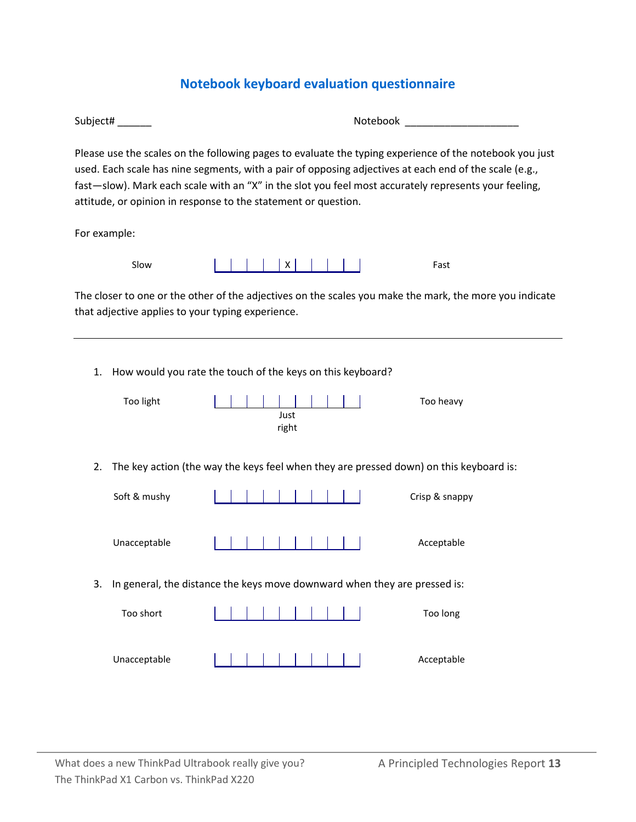# **Notebook keyboard evaluation questionnaire**

| Notebook ______________________<br>Subject# $\_\_$                                                                                                                                                                                                                                                                                                                                           |                |  |  |  |  |  |  |  |  |
|----------------------------------------------------------------------------------------------------------------------------------------------------------------------------------------------------------------------------------------------------------------------------------------------------------------------------------------------------------------------------------------------|----------------|--|--|--|--|--|--|--|--|
| Please use the scales on the following pages to evaluate the typing experience of the notebook you just<br>used. Each scale has nine segments, with a pair of opposing adjectives at each end of the scale (e.g.,<br>fast-slow). Mark each scale with an "X" in the slot you feel most accurately represents your feeling,<br>attitude, or opinion in response to the statement or question. |                |  |  |  |  |  |  |  |  |
| For example:                                                                                                                                                                                                                                                                                                                                                                                 |                |  |  |  |  |  |  |  |  |
| Slow<br>$\times$                                                                                                                                                                                                                                                                                                                                                                             | Fast           |  |  |  |  |  |  |  |  |
| The closer to one or the other of the adjectives on the scales you make the mark, the more you indicate<br>that adjective applies to your typing experience.                                                                                                                                                                                                                                 |                |  |  |  |  |  |  |  |  |
| How would you rate the touch of the keys on this keyboard?<br>1.                                                                                                                                                                                                                                                                                                                             |                |  |  |  |  |  |  |  |  |
| Too light<br>Just<br>right                                                                                                                                                                                                                                                                                                                                                                   | Too heavy      |  |  |  |  |  |  |  |  |
| The key action (the way the keys feel when they are pressed down) on this keyboard is:<br>2.                                                                                                                                                                                                                                                                                                 |                |  |  |  |  |  |  |  |  |
| Soft & mushy                                                                                                                                                                                                                                                                                                                                                                                 | Crisp & snappy |  |  |  |  |  |  |  |  |
| Unacceptable                                                                                                                                                                                                                                                                                                                                                                                 | Acceptable     |  |  |  |  |  |  |  |  |
| In general, the distance the keys move downward when they are pressed is:<br>3.                                                                                                                                                                                                                                                                                                              |                |  |  |  |  |  |  |  |  |
| Too short                                                                                                                                                                                                                                                                                                                                                                                    | Too long       |  |  |  |  |  |  |  |  |
| Unacceptable                                                                                                                                                                                                                                                                                                                                                                                 | Acceptable     |  |  |  |  |  |  |  |  |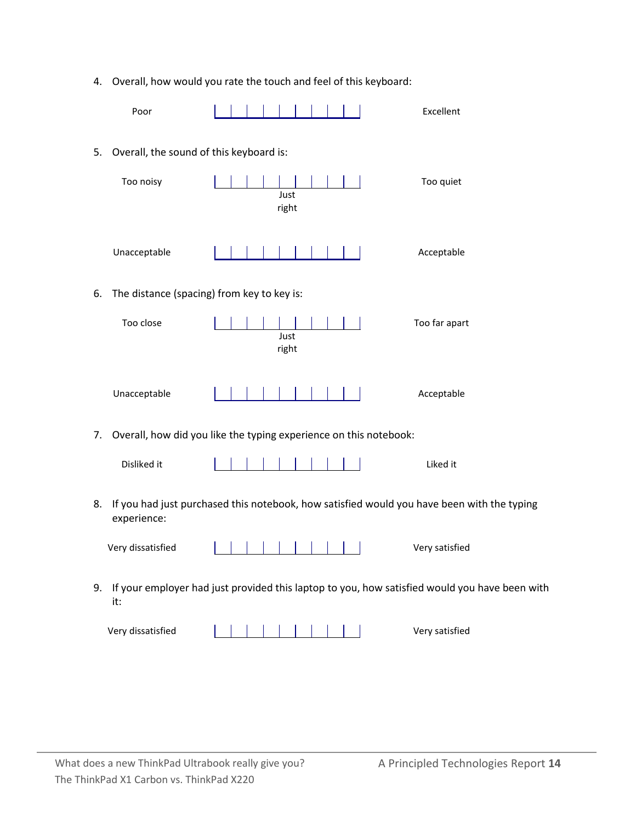4. Overall, how would you rate the touch and feel of this keyboard:

|    | Poor                                       |                                                                   | Excellent                                                                                     |
|----|--------------------------------------------|-------------------------------------------------------------------|-----------------------------------------------------------------------------------------------|
| 5. | Overall, the sound of this keyboard is:    |                                                                   |                                                                                               |
|    | Too noisy                                  | Just<br>right                                                     | Too quiet                                                                                     |
|    | Unacceptable                               |                                                                   | Acceptable                                                                                    |
| 6. | The distance (spacing) from key to key is: |                                                                   |                                                                                               |
|    | Too close                                  | Just<br>right                                                     | Too far apart                                                                                 |
|    | Unacceptable                               |                                                                   | Acceptable                                                                                    |
| 7. |                                            | Overall, how did you like the typing experience on this notebook: |                                                                                               |
|    | Disliked it                                |                                                                   | Liked it                                                                                      |
| 8. | experience:                                |                                                                   | If you had just purchased this notebook, how satisfied would you have been with the typing    |
|    | Very dissatisfied                          |                                                                   | Very satisfied                                                                                |
| 9. | it:                                        |                                                                   | If your employer had just provided this laptop to you, how satisfied would you have been with |
|    | Very dissatisfied                          |                                                                   | Very satisfied                                                                                |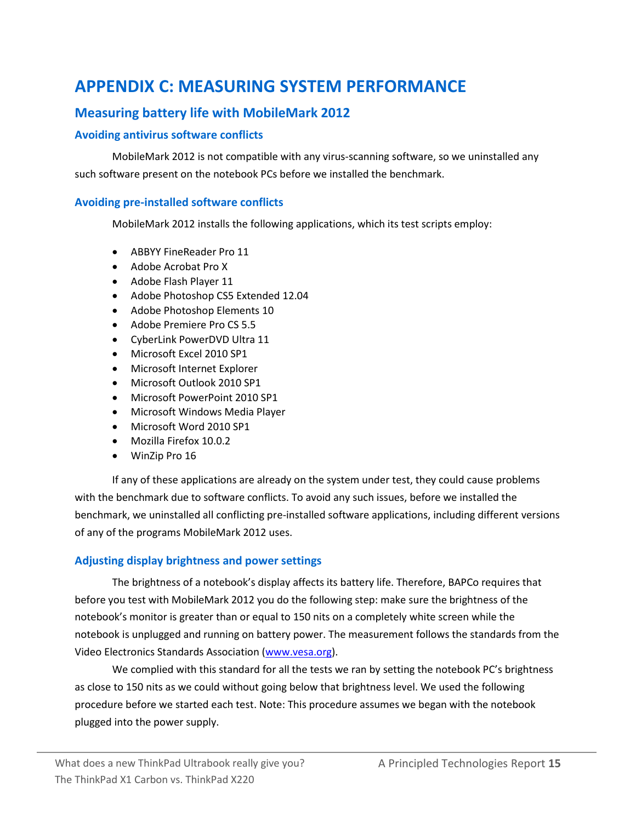# <span id="page-14-0"></span>**APPENDIX C: MEASURING SYSTEM PERFORMANCE**

## **Measuring battery life with MobileMark 2012**

### **Avoiding antivirus software conflicts**

MobileMark 2012 is not compatible with any virus-scanning software, so we uninstalled any such software present on the notebook PCs before we installed the benchmark.

### **Avoiding pre-installed software conflicts**

MobileMark 2012 installs the following applications, which its test scripts employ:

- ABBYY FineReader Pro 11
- Adobe Acrobat Pro X
- Adobe Flash Player 11
- Adobe Photoshop CS5 Extended 12.04
- Adobe Photoshop Elements 10
- Adobe Premiere Pro CS 5.5
- CyberLink PowerDVD Ultra 11
- Microsoft Excel 2010 SP1
- Microsoft Internet Explorer
- Microsoft Outlook 2010 SP1
- Microsoft PowerPoint 2010 SP1
- Microsoft Windows Media Player
- Microsoft Word 2010 SP1
- Mozilla Firefox 10.0.2
- WinZip Pro 16

If any of these applications are already on the system under test, they could cause problems with the benchmark due to software conflicts. To avoid any such issues, before we installed the benchmark, we uninstalled all conflicting pre-installed software applications, including different versions of any of the programs MobileMark 2012 uses.

## **Adjusting display brightness and power settings**

The brightness of a notebook's display affects its battery life. Therefore, BAPCo requires that before you test with MobileMark 2012 you do the following step: make sure the brightness of the notebook's monitor is greater than or equal to 150 nits on a completely white screen while the notebook is unplugged and running on battery power. The measurement follows the standards from the Video Electronics Standards Association [\(www.vesa.org\)](http://www.vesa.org/).

We complied with this standard for all the tests we ran by setting the notebook PC's brightness as close to 150 nits as we could without going below that brightness level. We used the following procedure before we started each test. Note: This procedure assumes we began with the notebook plugged into the power supply.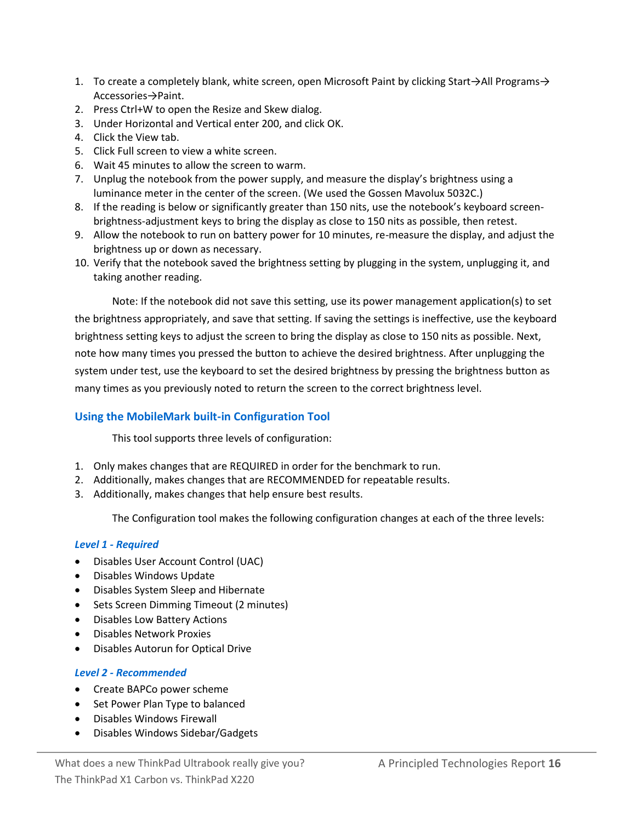- 1. To create a completely blank, white screen, open Microsoft Paint by clicking Start→All Programs→ Accessories→Paint.
- 2. Press Ctrl+W to open the Resize and Skew dialog.
- 3. Under Horizontal and Vertical enter 200, and click OK.
- 4. Click the View tab.
- 5. Click Full screen to view a white screen.
- 6. Wait 45 minutes to allow the screen to warm.
- 7. Unplug the notebook from the power supply, and measure the display's brightness using a luminance meter in the center of the screen. (We used the Gossen Mavolux 5032C.)
- 8. If the reading is below or significantly greater than 150 nits, use the notebook's keyboard screenbrightness-adjustment keys to bring the display as close to 150 nits as possible, then retest.
- 9. Allow the notebook to run on battery power for 10 minutes, re-measure the display, and adjust the brightness up or down as necessary.
- 10. Verify that the notebook saved the brightness setting by plugging in the system, unplugging it, and taking another reading.

Note: If the notebook did not save this setting, use its power management application(s) to set the brightness appropriately, and save that setting. If saving the settings is ineffective, use the keyboard brightness setting keys to adjust the screen to bring the display as close to 150 nits as possible. Next, note how many times you pressed the button to achieve the desired brightness. After unplugging the system under test, use the keyboard to set the desired brightness by pressing the brightness button as many times as you previously noted to return the screen to the correct brightness level.

### **Using the MobileMark built-in Configuration Tool**

This tool supports three levels of configuration:

- 1. Only makes changes that are REQUIRED in order for the benchmark to run.
- 2. Additionally, makes changes that are RECOMMENDED for repeatable results.
- 3. Additionally, makes changes that help ensure best results.

The Configuration tool makes the following configuration changes at each of the three levels:

#### *Level 1 - Required*

- Disables User Account Control (UAC)
- Disables Windows Update
- Disables System Sleep and Hibernate
- Sets Screen Dimming Timeout (2 minutes)
- Disables Low Battery Actions
- Disables Network Proxies
- Disables Autorun for Optical Drive

#### *Level 2 - Recommended*

- Create BAPCo power scheme
- Set Power Plan Type to balanced
- Disables Windows Firewall
- Disables Windows Sidebar/Gadgets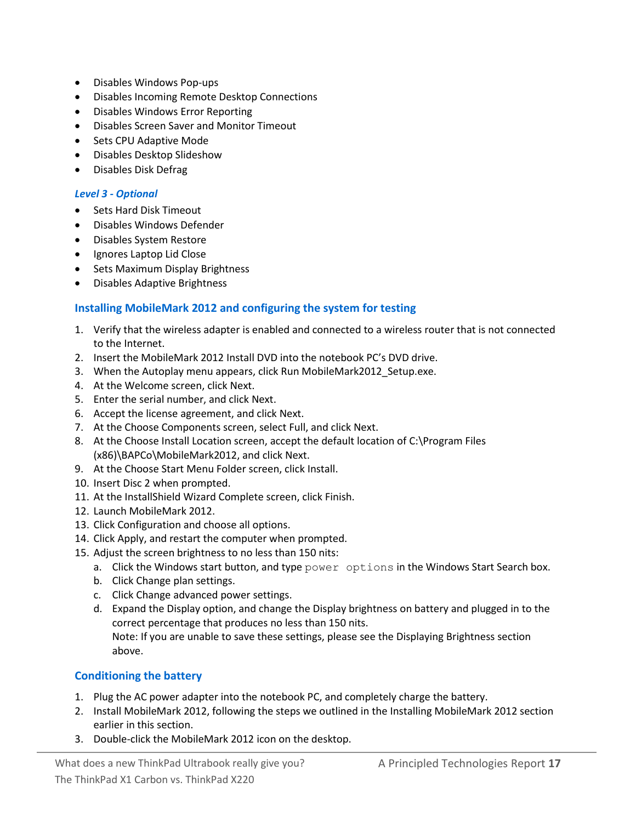- Disables Windows Pop-ups
- Disables Incoming Remote Desktop Connections
- Disables Windows Error Reporting
- Disables Screen Saver and Monitor Timeout
- Sets CPU Adaptive Mode
- Disables Desktop Slideshow
- Disables Disk Defrag

#### *Level 3 - Optional*

- Sets Hard Disk Timeout
- Disables Windows Defender
- Disables System Restore
- Ignores Laptop Lid Close
- Sets Maximum Display Brightness
- Disables Adaptive Brightness

#### **Installing MobileMark 2012 and configuring the system for testing**

- 1. Verify that the wireless adapter is enabled and connected to a wireless router that is not connected to the Internet.
- 2. Insert the MobileMark 2012 Install DVD into the notebook PC's DVD drive.
- 3. When the Autoplay menu appears, click Run MobileMark2012 Setup.exe.
- 4. At the Welcome screen, click Next.
- 5. Enter the serial number, and click Next.
- 6. Accept the license agreement, and click Next.
- 7. At the Choose Components screen, select Full, and click Next.
- 8. At the Choose Install Location screen, accept the default location of C:\Program Files (x86)\BAPCo\MobileMark2012, and click Next.
- 9. At the Choose Start Menu Folder screen, click Install.
- 10. Insert Disc 2 when prompted.
- 11. At the InstallShield Wizard Complete screen, click Finish.
- 12. Launch MobileMark 2012.
- 13. Click Configuration and choose all options.
- 14. Click Apply, and restart the computer when prompted.
- 15. Adjust the screen brightness to no less than 150 nits:
	- a. Click the Windows start button, and type power options in the Windows Start Search box.
	- b. Click Change plan settings.
	- c. Click Change advanced power settings.
	- d. Expand the Display option, and change the Display brightness on battery and plugged in to the correct percentage that produces no less than 150 nits. Note: If you are unable to save these settings, please see the Displaying Brightness section

### **Conditioning the battery**

above.

- 1. Plug the AC power adapter into the notebook PC, and completely charge the battery.
- 2. Install MobileMark 2012, following the steps we outlined in the Installing MobileMark 2012 section earlier in this section.
- 3. Double-click the MobileMark 2012 icon on the desktop.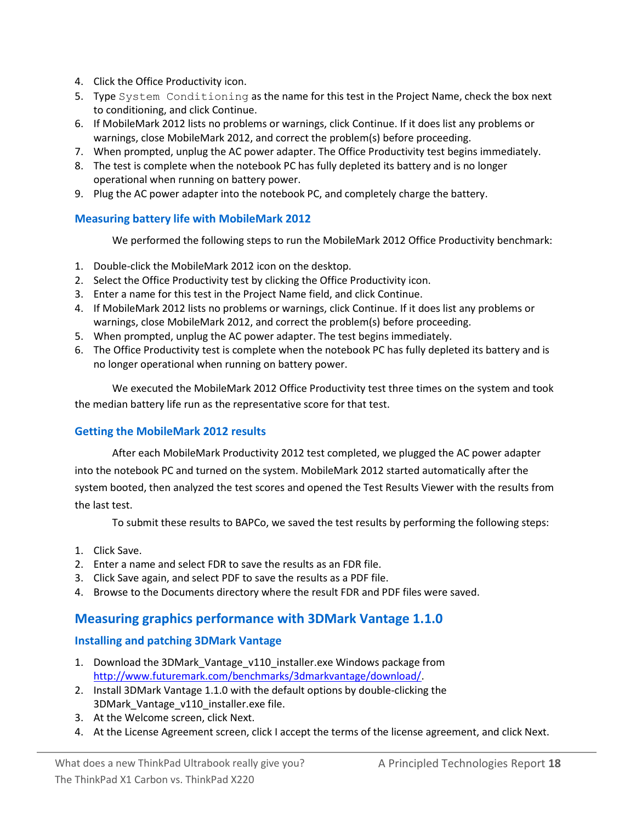- 4. Click the Office Productivity icon.
- 5. Type System Conditioning as the name for this test in the Project Name, check the box next to conditioning, and click Continue.
- 6. If MobileMark 2012 lists no problems or warnings, click Continue. If it does list any problems or warnings, close MobileMark 2012, and correct the problem(s) before proceeding.
- 7. When prompted, unplug the AC power adapter. The Office Productivity test begins immediately.
- 8. The test is complete when the notebook PC has fully depleted its battery and is no longer operational when running on battery power.
- 9. Plug the AC power adapter into the notebook PC, and completely charge the battery.

### **Measuring battery life with MobileMark 2012**

We performed the following steps to run the MobileMark 2012 Office Productivity benchmark:

- 1. Double-click the MobileMark 2012 icon on the desktop.
- 2. Select the Office Productivity test by clicking the Office Productivity icon.
- 3. Enter a name for this test in the Project Name field, and click Continue.
- 4. If MobileMark 2012 lists no problems or warnings, click Continue. If it does list any problems or warnings, close MobileMark 2012, and correct the problem(s) before proceeding.
- 5. When prompted, unplug the AC power adapter. The test begins immediately.
- 6. The Office Productivity test is complete when the notebook PC has fully depleted its battery and is no longer operational when running on battery power.

We executed the MobileMark 2012 Office Productivity test three times on the system and took the median battery life run as the representative score for that test.

### **Getting the MobileMark 2012 results**

After each MobileMark Productivity 2012 test completed, we plugged the AC power adapter into the notebook PC and turned on the system. MobileMark 2012 started automatically after the system booted, then analyzed the test scores and opened the Test Results Viewer with the results from the last test.

To submit these results to BAPCo, we saved the test results by performing the following steps:

- 1. Click Save.
- 2. Enter a name and select FDR to save the results as an FDR file.
- 3. Click Save again, and select PDF to save the results as a PDF file.
- 4. Browse to the Documents directory where the result FDR and PDF files were saved.

## **Measuring graphics performance with 3DMark Vantage 1.1.0**

### **Installing and patching 3DMark Vantage**

- 1. Download the 3DMark Vantage v110 installer.exe Windows package from [http://www.futuremark.com/benchmarks/3dmarkvantage/download/.](http://www.futuremark.com/benchmarks/3dmarkvantage/download/)
- 2. Install 3DMark Vantage 1.1.0 with the default options by double-clicking the 3DMark Vantage v110 installer.exe file.
- 3. At the Welcome screen, click Next.
- 4. At the License Agreement screen, click I accept the terms of the license agreement, and click Next.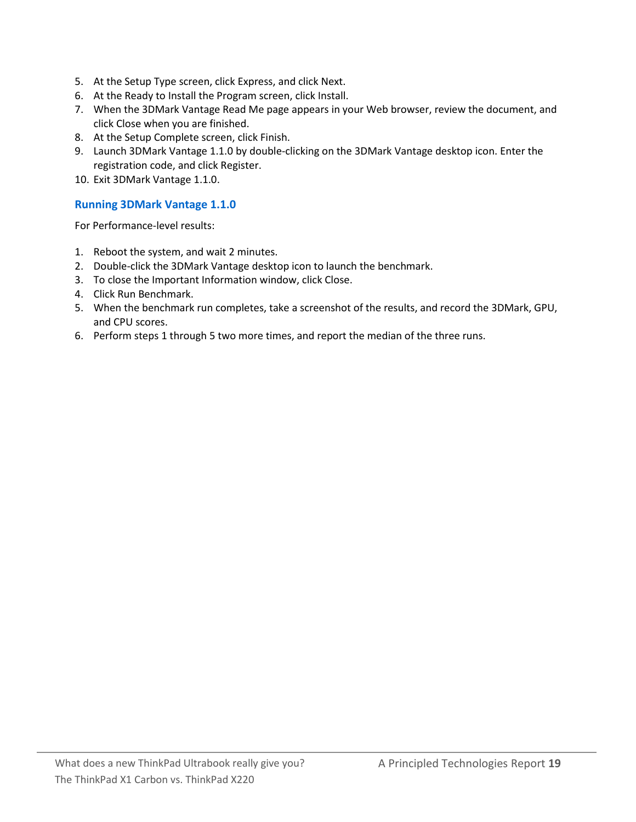- 5. At the Setup Type screen, click Express, and click Next.
- 6. At the Ready to Install the Program screen, click Install.
- 7. When the 3DMark Vantage Read Me page appears in your Web browser, review the document, and click Close when you are finished.
- 8. At the Setup Complete screen, click Finish.
- 9. Launch 3DMark Vantage 1.1.0 by double-clicking on the 3DMark Vantage desktop icon. Enter the registration code, and click Register.
- 10. Exit 3DMark Vantage 1.1.0.

### **Running 3DMark Vantage 1.1.0**

For Performance-level results:

- 1. Reboot the system, and wait 2 minutes.
- 2. Double-click the 3DMark Vantage desktop icon to launch the benchmark.
- 3. To close the Important Information window, click Close.
- 4. Click Run Benchmark.
- 5. When the benchmark run completes, take a screenshot of the results, and record the 3DMark, GPU, and CPU scores.
- 6. Perform steps 1 through 5 two more times, and report the median of the three runs.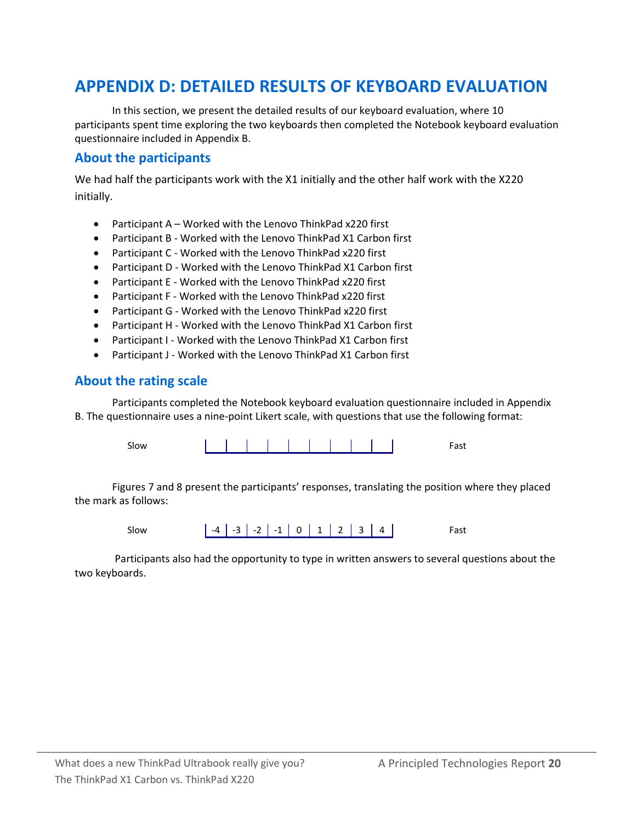# <span id="page-19-0"></span>**APPENDIX D: DETAILED RESULTS OF KEYBOARD EVALUATION**

In this section, we present the detailed results of our keyboard evaluation, where 10 participants spent time exploring the two keyboards then completed the Notebook keyboard evaluation questionnaire included in Appendix B.

### **About the participants**

We had half the participants work with the X1 initially and the other half work with the X220 initially.

- Participant A Worked with the Lenovo ThinkPad x220 first
- Participant B Worked with the Lenovo ThinkPad X1 Carbon first
- Participant C Worked with the Lenovo ThinkPad x220 first
- Participant D Worked with the Lenovo ThinkPad X1 Carbon first
- Participant E Worked with the Lenovo ThinkPad x220 first
- Participant F Worked with the Lenovo ThinkPad x220 first
- Participant G Worked with the Lenovo ThinkPad x220 first
- Participant H Worked with the Lenovo ThinkPad X1 Carbon first
- Participant I Worked with the Lenovo ThinkPad X1 Carbon first
- Participant J Worked with the Lenovo ThinkPad X1 Carbon first

### **About the rating scale**

Participants completed the Notebook keyboard evaluation questionnaire included in Appendix B. The questionnaire uses a nine-point Likert scale, with questions that use the following format:

| siow |  |  |  |  |  |
|------|--|--|--|--|--|
|      |  |  |  |  |  |

Figures 7 and 8 present the participants' responses, translating the position where they placed the mark as follows:

| Slow |  |  |  | $\vert -4 \vert -3 \vert -2 \vert -1 \vert 0 \vert 1 \vert 2 \vert 3 \vert 4 \vert$ |  | Fast |
|------|--|--|--|-------------------------------------------------------------------------------------|--|------|

Participants also had the opportunity to type in written answers to several questions about the two keyboards.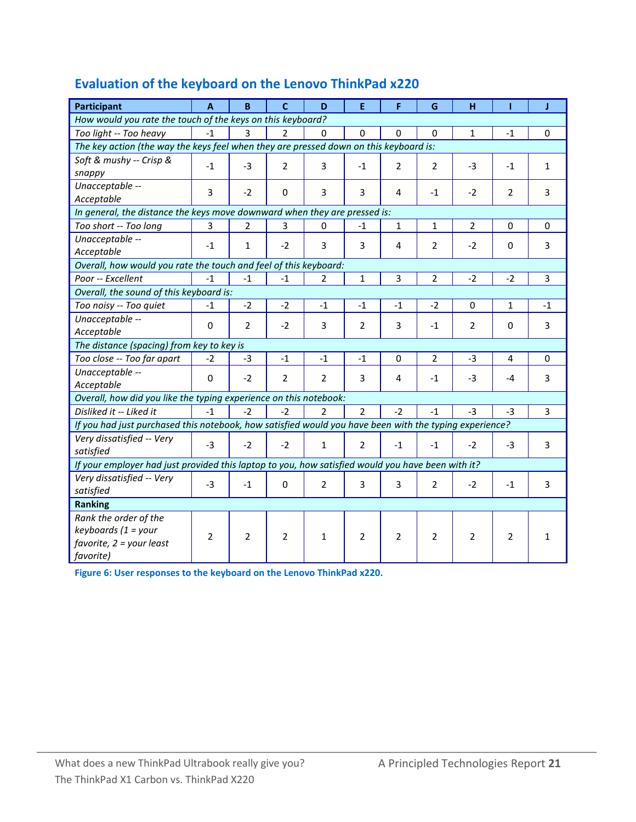## **Evaluation of the keyboard on the Lenovo ThinkPad x220**

| Participant                                                                                            | A              | B              | C              | D             | E              | F              | G              | H              |                | J            |  |
|--------------------------------------------------------------------------------------------------------|----------------|----------------|----------------|---------------|----------------|----------------|----------------|----------------|----------------|--------------|--|
| How would you rate the touch of the keys on this keyboard?                                             |                |                |                |               |                |                |                |                |                |              |  |
| Too light -- Too heavy                                                                                 | $-1$           | 3              | 2              | 0             | 0              | $\Omega$       | $\mathbf 0$    | $\mathbf{1}$   | $-1$           | $\mathbf 0$  |  |
| The key action (the way the keys feel when they are pressed down on this keyboard is:                  |                |                |                |               |                |                |                |                |                |              |  |
| Soft & mushy -- Crisp &<br>snappy                                                                      | $-1$           | $-3$           | 2              | 3             | $-1$           | 2              | $\overline{2}$ | $-3$           | $-1$           | $\mathbf{1}$ |  |
| Unacceptable --<br>Acceptable                                                                          | 3              | $-2$           | $\mathbf 0$    | 3             | 3              | 4              | $-1$           | $-2$           | $\overline{2}$ | 3            |  |
| In general, the distance the keys move downward when they are pressed is:                              |                |                |                |               |                |                |                |                |                |              |  |
| Too short -- Too long                                                                                  | 3              | 2              | 3              | 0             | $-1$           | $1\,$          | $\mathbf{1}$   | $\overline{2}$ | $\Omega$       | $\mathbf 0$  |  |
| Unacceptable --<br>Acceptable                                                                          | $-1$           | $\mathbf{1}$   | $-2$           | 3             | 3              | 4              | $\overline{2}$ | $-2$           | 0              | 3            |  |
| Overall, how would you rate the touch and feel of this keyboard:                                       |                |                |                |               |                |                |                |                |                |              |  |
| Poor -- Excellent                                                                                      | $-1$           | $-1$           | $-1$           | 2             | $\mathbf{1}$   | 3              | $\overline{2}$ | $-2$           | $-2$           | 3            |  |
| Overall, the sound of this keyboard is:                                                                |                |                |                |               |                |                |                |                |                |              |  |
| Too noisy -- Too quiet                                                                                 | $-1$           | $-2$           | $-2$           | $-1$          | $-1$           | $-1$           | $-2$           | $\Omega$       | $\mathbf{1}$   | $-1$         |  |
| Unacceptable --<br>Acceptable                                                                          | 0              | $\overline{2}$ | $-2$           | 3             | $\overline{2}$ | 3              | $-1$           | $\overline{2}$ | 0              | 3            |  |
| The distance (spacing) from key to key is                                                              |                |                |                |               |                |                |                |                |                |              |  |
| Too close -- Too far apart                                                                             | $-2$           | $-3$           | $-1$           | $-1$          | $-1$           | $\mathbf 0$    | $\overline{2}$ | $-3$           | 4              | 0            |  |
| Unacceptable --<br>Acceptable                                                                          | $\mathbf 0$    | $-2$           | $\overline{2}$ | 2             | 3              | 4              | $-1$           | $-3$           | -4             | 3            |  |
| Overall, how did you like the typing experience on this notebook:                                      |                |                |                |               |                |                |                |                |                |              |  |
| Disliked it -- Liked it                                                                                | $-1$           | $-2$           | $-2$           | $\mathcal{P}$ | $\overline{2}$ | $-2$           | $-1$           | $-3$           | $-3$           | 3            |  |
| If you had just purchased this notebook, how satisfied would you have been with the typing experience? |                |                |                |               |                |                |                |                |                |              |  |
| Very dissatisfied -- Very<br>satisfied                                                                 | $-3$           | $-2$           | $-2$           | $\mathbf{1}$  | $\overline{2}$ | $-1$           | $-1$           | $-2$           | -3             | 3            |  |
| If your employer had just provided this laptop to you, how satisfied would you have been with it?      |                |                |                |               |                |                |                |                |                |              |  |
| Very dissatisfied -- Very<br>satisfied                                                                 | $-3$           | $-1$           | 0              | 2             | 3              | 3              | $\overline{2}$ | $-2$           | $-1$           | 3            |  |
| <b>Ranking</b>                                                                                         |                |                |                |               |                |                |                |                |                |              |  |
| Rank the order of the<br>keyboards $(1 = your$<br>favorite, $2 =$ your least<br>favorite)              | $\overline{2}$ | $\overline{2}$ | $\overline{2}$ | $\mathbf{1}$  | $\overline{2}$ | $\overline{2}$ | $\overline{2}$ | $\overline{2}$ | $\overline{2}$ | 1            |  |

**Figure 6: User responses to the keyboard on the Lenovo ThinkPad x220.**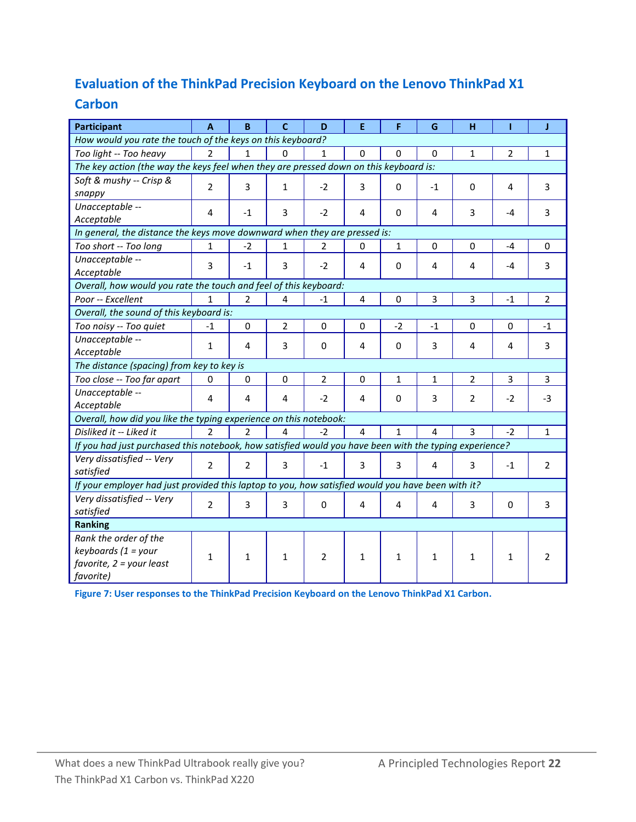## **Evaluation of the ThinkPad Precision Keyboard on the Lenovo ThinkPad X1**

## **Carbon**

| Participant                                                                                            | A              | B              | C              | D              | E              | F            | G            | H              |          | J              |  |
|--------------------------------------------------------------------------------------------------------|----------------|----------------|----------------|----------------|----------------|--------------|--------------|----------------|----------|----------------|--|
| How would you rate the touch of the keys on this keyboard?                                             |                |                |                |                |                |              |              |                |          |                |  |
| Too light -- Too heavy                                                                                 | 2              | 1              | 0              | 1              | 0              | $\Omega$     | 0            | 1              | 2        | 1              |  |
| The key action (the way the keys feel when they are pressed down on this keyboard is:                  |                |                |                |                |                |              |              |                |          |                |  |
| Soft & mushy -- Crisp &                                                                                | $\mathcal{L}$  | 3              | $\mathbf{1}$   | $-2$           | 3              | $\Omega$     | $-1$         | $\Omega$       | 4        | 3              |  |
| snappy                                                                                                 |                |                |                |                |                |              |              |                |          |                |  |
| Unacceptable --                                                                                        | 4              | $-1$           | 3              | $-2$           | 4              | $\Omega$     | 4            | 3              | -4       | 3              |  |
| Acceptable                                                                                             |                |                |                |                |                |              |              |                |          |                |  |
| In general, the distance the keys move downward when they are pressed is:                              |                |                |                |                |                |              |              |                |          |                |  |
| Too short -- Too long                                                                                  | 1              | $-2$           | 1              | $\mathcal{P}$  | 0              | $\mathbf{1}$ | $\mathbf 0$  | $\Omega$       | -4       | $\Omega$       |  |
| Unacceptable --                                                                                        | 3              | $-1$           | 3              | $-2$           | 4              | $\Omega$     | 4            | 4              | $-4$     | 3              |  |
| Acceptable                                                                                             |                |                |                |                |                |              |              |                |          |                |  |
| Overall, how would you rate the touch and feel of this keyboard:                                       |                |                |                |                |                |              |              |                |          |                |  |
| Poor -- Excellent                                                                                      | 1              | $\mathcal{P}$  | 4              | $-1$           | $\overline{4}$ | $\mathbf 0$  | 3            | 3              | $-1$     | $\overline{2}$ |  |
| Overall, the sound of this keyboard is:                                                                |                |                |                |                |                |              |              |                |          |                |  |
| Too noisy -- Too quiet                                                                                 | $-1$           | $\mathbf 0$    | $\overline{2}$ | $\Omega$       | $\Omega$       | $-2$         | $-1$         | $\Omega$       | $\Omega$ | $-1$           |  |
| Unacceptable --                                                                                        | $\mathbf{1}$   | 4              | 3              | 0              | 4              | $\mathbf 0$  | 3            | 4              | 4        | 3              |  |
| Acceptable                                                                                             |                |                |                |                |                |              |              |                |          |                |  |
| The distance (spacing) from key to key is                                                              |                |                |                |                |                |              |              |                |          |                |  |
| Too close -- Too far apart                                                                             | 0              | 0              | $\mathbf 0$    | $\overline{2}$ | $\mathbf 0$    | 1            | 1            | $\overline{2}$ | 3        | 3              |  |
| Unacceptable --                                                                                        | 4              | 4              | 4              | $-2$           | 4              | $\Omega$     | 3            | $\overline{2}$ | $-2$     | $-3$           |  |
| Acceptable                                                                                             |                |                |                |                |                |              |              |                |          |                |  |
| Overall, how did you like the typing experience on this notebook:                                      |                |                |                |                |                |              |              |                |          |                |  |
| Disliked it -- Liked it                                                                                | $\mathcal{P}$  | $\mathcal{P}$  | 4              | $-2$           | $\overline{4}$ | $\mathbf{1}$ | 4            | 3              | $-2$     | 1              |  |
| If you had just purchased this notebook, how satisfied would you have been with the typing experience? |                |                |                |                |                |              |              |                |          |                |  |
| Very dissatisfied -- Very                                                                              | $\overline{2}$ | $\overline{2}$ | 3              | $-1$           | 3              | 3            | 4            | 3              | $-1$     | $\overline{2}$ |  |
| satisfied                                                                                              |                |                |                |                |                |              |              |                |          |                |  |
| If your employer had just provided this laptop to you, how satisfied would you have been with it?      |                |                |                |                |                |              |              |                |          |                |  |
| Very dissatisfied -- Very                                                                              | $\overline{2}$ | 3              | 3              | 0              | 4              | 4            | 4            | 3              | 0        | 3              |  |
| satisfied                                                                                              |                |                |                |                |                |              |              |                |          |                |  |
| Ranking                                                                                                |                |                |                |                |                |              |              |                |          |                |  |
| Rank the order of the                                                                                  |                |                |                |                |                |              |              |                |          |                |  |
| keyboards $(1 = your$                                                                                  | $\mathbf{1}$   | $\mathbf{1}$   | 1              | $\overline{2}$ | 1              | $\mathbf{1}$ | $\mathbf{1}$ | 1              | 1        | $\overline{2}$ |  |
| favorite, $2 =$ your least                                                                             |                |                |                |                |                |              |              |                |          |                |  |
| favorite)                                                                                              |                |                |                |                |                |              |              |                |          |                |  |

**Figure 7: User responses to the ThinkPad Precision Keyboard on the Lenovo ThinkPad X1 Carbon.**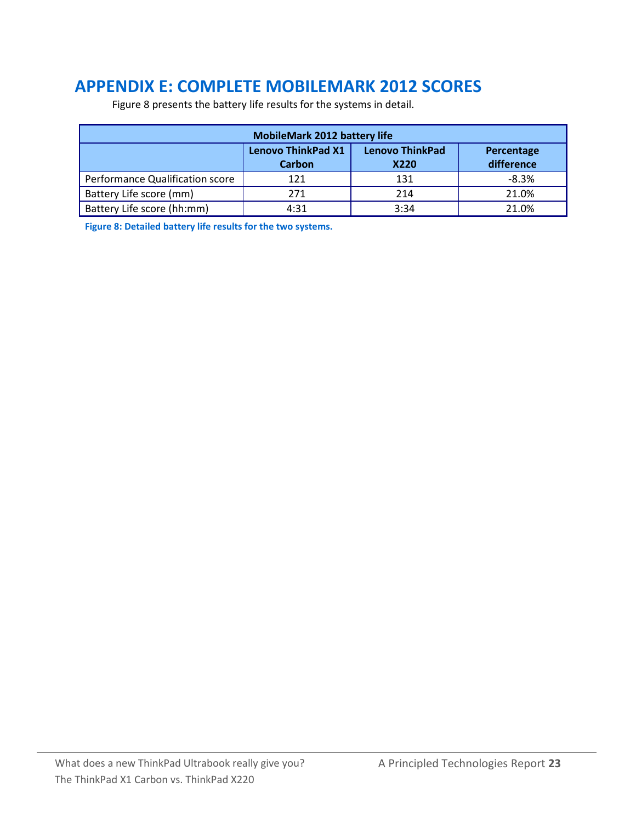# <span id="page-22-0"></span>**APPENDIX E: COMPLETE MOBILEMARK 2012 SCORES**

| <b>MobileMark 2012 battery life</b>                                                               |      |      |         |  |  |  |  |  |  |  |
|---------------------------------------------------------------------------------------------------|------|------|---------|--|--|--|--|--|--|--|
| <b>Lenovo ThinkPad X1</b><br><b>Lenovo ThinkPad</b><br>Percentage<br>difference<br>Carbon<br>X220 |      |      |         |  |  |  |  |  |  |  |
| Performance Qualification score                                                                   | 121  | 131  | $-8.3%$ |  |  |  |  |  |  |  |
| Battery Life score (mm)                                                                           | 271  | 214  | 21.0%   |  |  |  |  |  |  |  |
| Battery Life score (hh:mm)                                                                        | 4:31 | 3:34 | 21.0%   |  |  |  |  |  |  |  |

Figure 8 presents the battery life results for the systems in detail.

**Figure 8: Detailed battery life results for the two systems.**